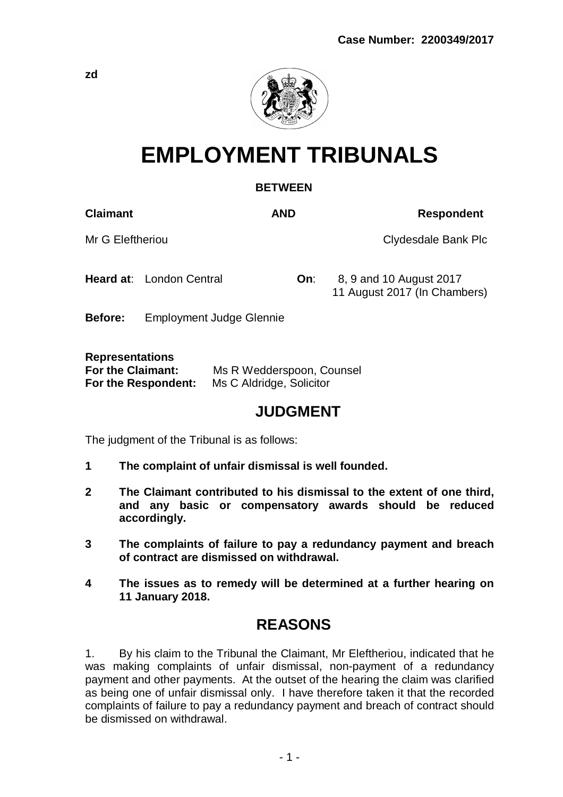

# **EMPLOYMENT TRIBUNALS**

## **BETWEEN**

**Claimant AND Respondent**

Mr G Eleftheriou **Clydesdale Bank Plc** 

**Heard at:** London Central **On:** 8, 9 and 10 August 2017 11 August 2017 (In Chambers)

**Before:** Employment Judge Glennie

**Representations**

| For the Claimant:   | Ms R Wedderspoon, Counsel |
|---------------------|---------------------------|
| For the Respondent: | Ms C Aldridge, Solicitor  |

## **JUDGMENT**

The judgment of the Tribunal is as follows:

- **1 The complaint of unfair dismissal is well founded.**
- **2 The Claimant contributed to his dismissal to the extent of one third, and any basic or compensatory awards should be reduced accordingly.**
- **3 The complaints of failure to pay a redundancy payment and breach of contract are dismissed on withdrawal.**
- **4 The issues as to remedy will be determined at a further hearing on 11 January 2018.**

## **REASONS**

1. By his claim to the Tribunal the Claimant, Mr Eleftheriou, indicated that he was making complaints of unfair dismissal, non-payment of a redundancy payment and other payments. At the outset of the hearing the claim was clarified as being one of unfair dismissal only. I have therefore taken it that the recorded complaints of failure to pay a redundancy payment and breach of contract should be dismissed on withdrawal.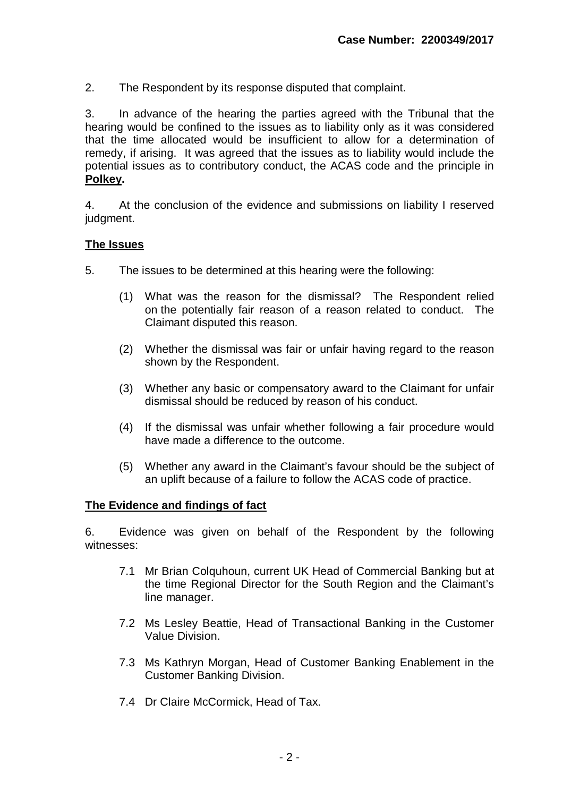2. The Respondent by its response disputed that complaint.

3. In advance of the hearing the parties agreed with the Tribunal that the hearing would be confined to the issues as to liability only as it was considered that the time allocated would be insufficient to allow for a determination of remedy, if arising. It was agreed that the issues as to liability would include the potential issues as to contributory conduct, the ACAS code and the principle in **Polkey.**

4. At the conclusion of the evidence and submissions on liability I reserved judgment.

## **The Issues**

- 5. The issues to be determined at this hearing were the following:
	- (1) What was the reason for the dismissal? The Respondent relied on the potentially fair reason of a reason related to conduct. The Claimant disputed this reason.
	- (2) Whether the dismissal was fair or unfair having regard to the reason shown by the Respondent.
	- (3) Whether any basic or compensatory award to the Claimant for unfair dismissal should be reduced by reason of his conduct.
	- (4) If the dismissal was unfair whether following a fair procedure would have made a difference to the outcome.
	- (5) Whether any award in the Claimant's favour should be the subject of an uplift because of a failure to follow the ACAS code of practice.

## **The Evidence and findings of fact**

6. Evidence was given on behalf of the Respondent by the following witnesses:

- 7.1 Mr Brian Colquhoun, current UK Head of Commercial Banking but at the time Regional Director for the South Region and the Claimant's line manager.
- 7.2 Ms Lesley Beattie, Head of Transactional Banking in the Customer Value Division.
- 7.3 Ms Kathryn Morgan, Head of Customer Banking Enablement in the Customer Banking Division.
- 7.4 Dr Claire McCormick, Head of Tax.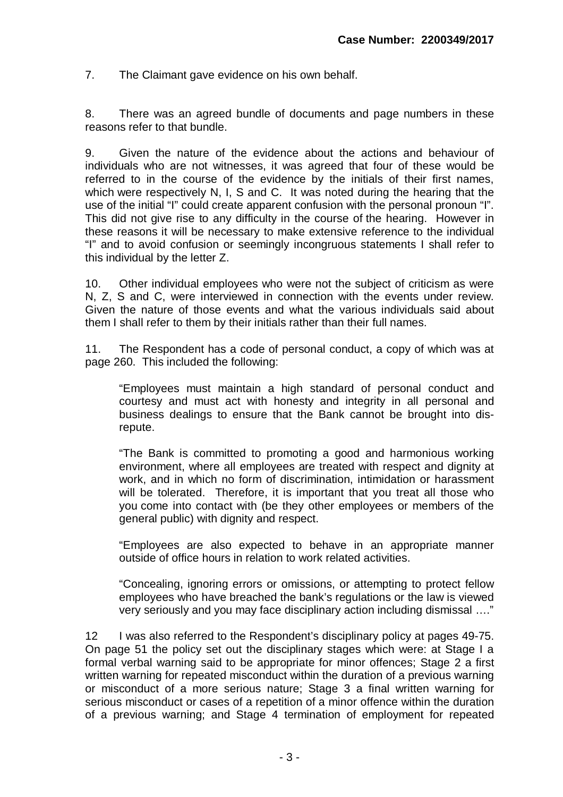7. The Claimant gave evidence on his own behalf.

8. There was an agreed bundle of documents and page numbers in these reasons refer to that bundle.

9. Given the nature of the evidence about the actions and behaviour of individuals who are not witnesses, it was agreed that four of these would be referred to in the course of the evidence by the initials of their first names, which were respectively N, I, S and C. It was noted during the hearing that the use of the initial "I" could create apparent confusion with the personal pronoun "I". This did not give rise to any difficulty in the course of the hearing. However in these reasons it will be necessary to make extensive reference to the individual "I" and to avoid confusion or seemingly incongruous statements I shall refer to this individual by the letter Z.

10. Other individual employees who were not the subject of criticism as were N, Z, S and C, were interviewed in connection with the events under review. Given the nature of those events and what the various individuals said about them I shall refer to them by their initials rather than their full names.

11. The Respondent has a code of personal conduct, a copy of which was at page 260. This included the following:

"Employees must maintain a high standard of personal conduct and courtesy and must act with honesty and integrity in all personal and business dealings to ensure that the Bank cannot be brought into disrepute.

"The Bank is committed to promoting a good and harmonious working environment, where all employees are treated with respect and dignity at work, and in which no form of discrimination, intimidation or harassment will be tolerated. Therefore, it is important that you treat all those who you come into contact with (be they other employees or members of the general public) with dignity and respect.

"Employees are also expected to behave in an appropriate manner outside of office hours in relation to work related activities.

"Concealing, ignoring errors or omissions, or attempting to protect fellow employees who have breached the bank's regulations or the law is viewed very seriously and you may face disciplinary action including dismissal …."

12 I was also referred to the Respondent's disciplinary policy at pages 49-75. On page 51 the policy set out the disciplinary stages which were: at Stage I a formal verbal warning said to be appropriate for minor offences; Stage 2 a first written warning for repeated misconduct within the duration of a previous warning or misconduct of a more serious nature; Stage 3 a final written warning for serious misconduct or cases of a repetition of a minor offence within the duration of a previous warning; and Stage 4 termination of employment for repeated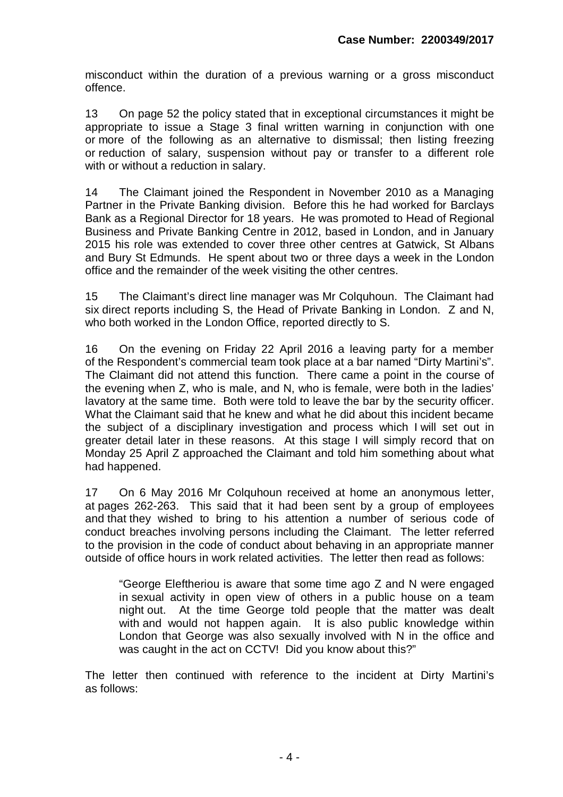misconduct within the duration of a previous warning or a gross misconduct offence.

13 On page 52 the policy stated that in exceptional circumstances it might be appropriate to issue a Stage 3 final written warning in conjunction with one or more of the following as an alternative to dismissal; then listing freezing or reduction of salary, suspension without pay or transfer to a different role with or without a reduction in salary.

14 The Claimant joined the Respondent in November 2010 as a Managing Partner in the Private Banking division. Before this he had worked for Barclays Bank as a Regional Director for 18 years. He was promoted to Head of Regional Business and Private Banking Centre in 2012, based in London, and in January 2015 his role was extended to cover three other centres at Gatwick, St Albans and Bury St Edmunds. He spent about two or three days a week in the London office and the remainder of the week visiting the other centres.

15 The Claimant's direct line manager was Mr Colquhoun. The Claimant had six direct reports including S, the Head of Private Banking in London. Z and N, who both worked in the London Office, reported directly to S.

16 On the evening on Friday 22 April 2016 a leaving party for a member of the Respondent's commercial team took place at a bar named "Dirty Martini's". The Claimant did not attend this function. There came a point in the course of the evening when Z, who is male, and N, who is female, were both in the ladies' lavatory at the same time. Both were told to leave the bar by the security officer. What the Claimant said that he knew and what he did about this incident became the subject of a disciplinary investigation and process which I will set out in greater detail later in these reasons. At this stage I will simply record that on Monday 25 April Z approached the Claimant and told him something about what had happened.

17 On 6 May 2016 Mr Colquhoun received at home an anonymous letter, at pages 262-263. This said that it had been sent by a group of employees and that they wished to bring to his attention a number of serious code of conduct breaches involving persons including the Claimant. The letter referred to the provision in the code of conduct about behaving in an appropriate manner outside of office hours in work related activities. The letter then read as follows:

"George Eleftheriou is aware that some time ago Z and N were engaged in sexual activity in open view of others in a public house on a team night out. At the time George told people that the matter was dealt with and would not happen again. It is also public knowledge within London that George was also sexually involved with N in the office and was caught in the act on CCTV! Did you know about this?"

The letter then continued with reference to the incident at Dirty Martini's as follows: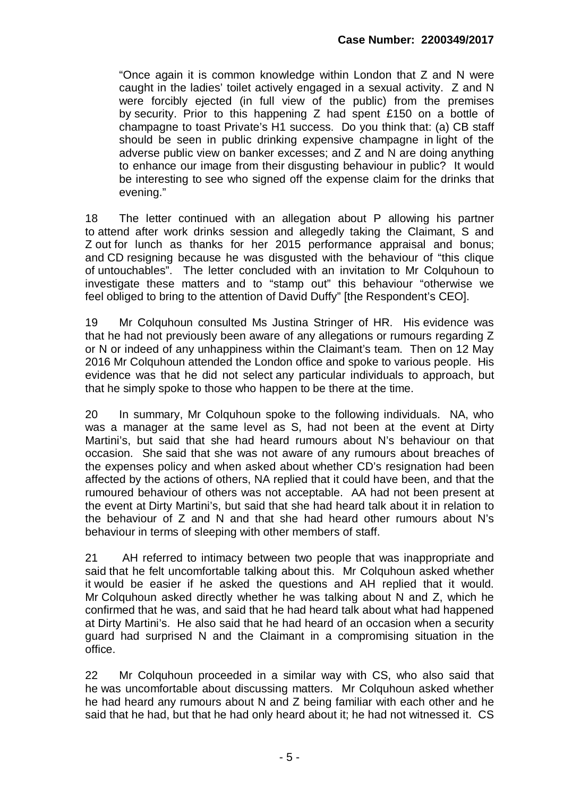"Once again it is common knowledge within London that Z and N were caught in the ladies' toilet actively engaged in a sexual activity. Z and N were forcibly ejected (in full view of the public) from the premises by security. Prior to this happening Z had spent £150 on a bottle of champagne to toast Private's H1 success. Do you think that: (a) CB staff should be seen in public drinking expensive champagne in light of the adverse public view on banker excesses; and Z and N are doing anything to enhance our image from their disgusting behaviour in public? It would be interesting to see who signed off the expense claim for the drinks that evening."

18 The letter continued with an allegation about P allowing his partner to attend after work drinks session and allegedly taking the Claimant, S and Z out for lunch as thanks for her 2015 performance appraisal and bonus; and CD resigning because he was disgusted with the behaviour of "this clique of untouchables". The letter concluded with an invitation to Mr Colquhoun to investigate these matters and to "stamp out" this behaviour "otherwise we feel obliged to bring to the attention of David Duffy" [the Respondent's CEO].

19 Mr Colquhoun consulted Ms Justina Stringer of HR. His evidence was that he had not previously been aware of any allegations or rumours regarding Z or N or indeed of any unhappiness within the Claimant's team. Then on 12 May 2016 Mr Colquhoun attended the London office and spoke to various people. His evidence was that he did not select any particular individuals to approach, but that he simply spoke to those who happen to be there at the time.

20 In summary, Mr Colquhoun spoke to the following individuals. NA, who was a manager at the same level as S, had not been at the event at Dirty Martini's, but said that she had heard rumours about N's behaviour on that occasion. She said that she was not aware of any rumours about breaches of the expenses policy and when asked about whether CD's resignation had been affected by the actions of others, NA replied that it could have been, and that the rumoured behaviour of others was not acceptable. AA had not been present at the event at Dirty Martini's, but said that she had heard talk about it in relation to the behaviour of Z and N and that she had heard other rumours about N's behaviour in terms of sleeping with other members of staff.

21 AH referred to intimacy between two people that was inappropriate and said that he felt uncomfortable talking about this. Mr Colquhoun asked whether it would be easier if he asked the questions and AH replied that it would. Mr Colquhoun asked directly whether he was talking about N and Z, which he confirmed that he was, and said that he had heard talk about what had happened at Dirty Martini's. He also said that he had heard of an occasion when a security guard had surprised N and the Claimant in a compromising situation in the office.

22 Mr Colquhoun proceeded in a similar way with CS, who also said that he was uncomfortable about discussing matters. Mr Colquhoun asked whether he had heard any rumours about N and Z being familiar with each other and he said that he had, but that he had only heard about it; he had not witnessed it. CS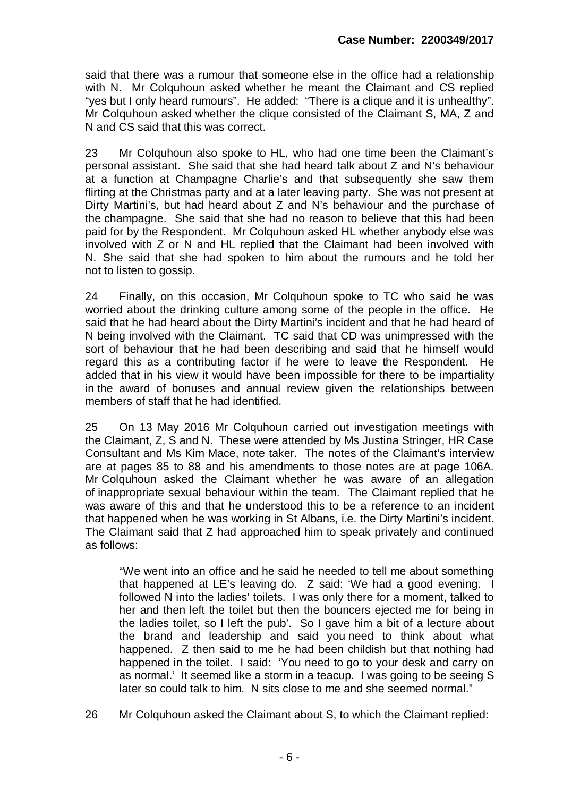said that there was a rumour that someone else in the office had a relationship with N. Mr Colquhoun asked whether he meant the Claimant and CS replied ""..."<br>"yes but I only heard rumours". He added: "There is a clique and it is unhealthy". Mr Colquhoun asked whether the clique consisted of the Claimant S, MA, Z and N and CS said that this was correct.

23 Mr Colquhoun also spoke to HL, who had one time been the Claimant's personal assistant. She said that she had heard talk about Z and N's behaviour at a function at Champagne Charlie's and that subsequently she saw them flirting at the Christmas party and at a later leaving party. She was not present at Dirty Martini's, but had heard about Z and N's behaviour and the purchase of the champagne. She said that she had no reason to believe that this had been paid for by the Respondent. Mr Colquhoun asked HL whether anybody else was involved with Z or N and HL replied that the Claimant had been involved with N. She said that she had spoken to him about the rumours and he told her not to listen to gossip.

24 Finally, on this occasion, Mr Colquhoun spoke to TC who said he was worried about the drinking culture among some of the people in the office. He said that he had heard about the Dirty Martini's incident and that he had heard of N being involved with the Claimant. TC said that CD was unimpressed with the sort of behaviour that he had been describing and said that he himself would regard this as a contributing factor if he were to leave the Respondent. He added that in his view it would have been impossible for there to be impartiality in the award of bonuses and annual review given the relationships between members of staff that he had identified.

25 On 13 May 2016 Mr Colquhoun carried out investigation meetings with the Claimant, Z, S and N. These were attended by Ms Justina Stringer, HR Case Consultant and Ms Kim Mace, note taker. The notes of the Claimant's interview are at pages 85 to 88 and his amendments to those notes are at page 106A. Mr Colquhoun asked the Claimant whether he was aware of an allegation of inappropriate sexual behaviour within the team. The Claimant replied that he was aware of this and that he understood this to be a reference to an incident that happened when he was working in St Albans, i.e. the Dirty Martini's incident. The Claimant said that Z had approached him to speak privately and continued as follows:

"We went into an office and he said he needed to tell me about something that happened at LE's leaving do. Z said: 'We had a good evening. I followed N into the ladies' toilets. I was only there for a moment, talked to her and then left the toilet but then the bouncers ejected me for being in the ladies toilet, so I left the pub'. So I gave him a bit of a lecture about the brand and leadership and said you need to think about what happened. Z then said to me he had been childish but that nothing had happened in the toilet. I said: 'You need to go to your desk and carry on as normal.' It seemed like a storm in a teacup. I was going to be seeing S later so could talk to him. N sits close to me and she seemed normal."

26 Mr Colquhoun asked the Claimant about S, to which the Claimant replied: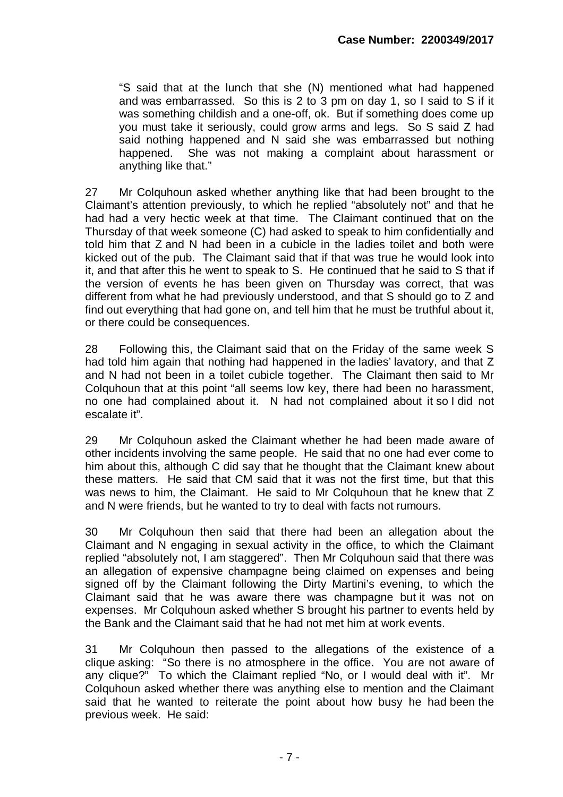"S said that at the lunch that she (N) mentioned what had happened and was embarrassed. So this is 2 to 3 pm on day 1, so I said to S if it was something childish and a one-off, ok. But if something does come up you must take it seriously, could grow arms and legs. So S said Z had said nothing happened and N said she was embarrassed but nothing happened. She was not making a complaint about harassment or anything like that."

27 Mr Colquhoun asked whether anything like that had been brought to the Claimant's attention previously, to which he replied "absolutely not" and that he had had a very hectic week at that time. The Claimant continued that on the Thursday of that week someone (C) had asked to speak to him confidentially and told him that Z and N had been in a cubicle in the ladies toilet and both were kicked out of the pub. The Claimant said that if that was true he would look into it, and that after this he went to speak to S. He continued that he said to S that if the version of events he has been given on Thursday was correct, that was different from what he had previously understood, and that S should go to Z and find out everything that had gone on, and tell him that he must be truthful about it, or there could be consequences.

28 Following this, the Claimant said that on the Friday of the same week S had told him again that nothing had happened in the ladies' lavatory, and that Z and N had not been in a toilet cubicle together. The Claimant then said to Mr Colquhoun that at this point "all seems low key, there had been no harassment, no one had complained about it. N had not complained about it so I did not escalate it".

29 Mr Colquhoun asked the Claimant whether he had been made aware of other incidents involving the same people. He said that no one had ever come to him about this, although C did say that he thought that the Claimant knew about these matters. He said that CM said that it was not the first time, but that this was news to him, the Claimant. He said to Mr Colquhoun that he knew that Z and N were friends, but he wanted to try to deal with facts not rumours.

30 Mr Colquhoun then said that there had been an allegation about the Claimant and N engaging in sexual activity in the office, to which the Claimant replied "absolutely not, I am staggered". Then Mr Colquhoun said that there was an allegation of expensive champagne being claimed on expenses and being signed off by the Claimant following the Dirty Martini's evening, to which the Claimant said that he was aware there was champagne but it was not on expenses. Mr Colquhoun asked whether S brought his partner to events held by the Bank and the Claimant said that he had not met him at work events.

31 Mr Colquhoun then passed to the allegations of the existence of a clique asking: "So there is no atmosphere in the office. You are not aware of any clique?" To which the Claimant replied "No, or I would deal with it". Mr Colquhoun asked whether there was anything else to mention and the Claimant said that he wanted to reiterate the point about how busy he had been the previous week. He said: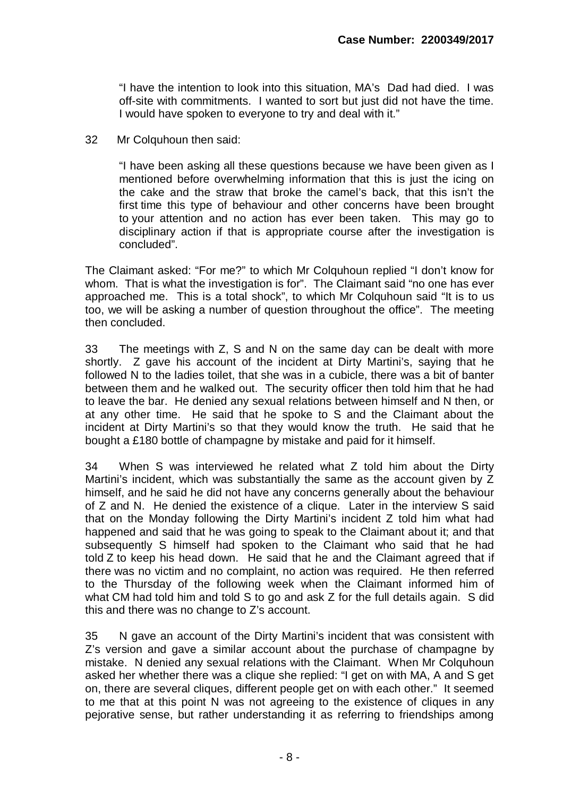"I have the intention to look into this situation, MA's Dad had died. I was off-site with commitments. I wanted to sort but just did not have the time. I would have spoken to everyone to try and deal with it."

32 Mr Colquhoun then said:

"I have been asking all these questions because we have been given as I mentioned before overwhelming information that this is just the icing on the cake and the straw that broke the camel's back, that this isn't the first time this type of behaviour and other concerns have been brought to your attention and no action has ever been taken. This may go to disciplinary action if that is appropriate course after the investigation is concluded".

The Claimant asked: "For me?" to which Mr Colquhoun replied "I don't know for whom. That is what the investigation is for". The Claimant said "no one has ever approached me. This is a total shock", to which Mr Colquhoun said "It is to us too, we will be asking a number of question throughout the office". The meeting then concluded.

33 The meetings with Z, S and N on the same day can be dealt with more shortly. Z gave his account of the incident at Dirty Martini's, saying that he followed N to the ladies toilet, that she was in a cubicle, there was a bit of banter between them and he walked out. The security officer then told him that he had to leave the bar. He denied any sexual relations between himself and N then, or at any other time. He said that he spoke to S and the Claimant about the incident at Dirty Martini's so that they would know the truth. He said that he bought a £180 bottle of champagne by mistake and paid for it himself.

34 When S was interviewed he related what Z told him about the Dirty Martini's incident, which was substantially the same as the account given by Z himself, and he said he did not have any concerns generally about the behaviour of Z and N. He denied the existence of a clique. Later in the interview S said that on the Monday following the Dirty Martini's incident Z told him what had happened and said that he was going to speak to the Claimant about it; and that subsequently S himself had spoken to the Claimant who said that he had told Z to keep his head down. He said that he and the Claimant agreed that if there was no victim and no complaint, no action was required. He then referred to the Thursday of the following week when the Claimant informed him of what CM had told him and told S to go and ask Z for the full details again. S did this and there was no change to Z's account.

35 N gave an account of the Dirty Martini's incident that was consistent with Z's version and gave a similar account about the purchase of champagne by mistake. N denied any sexual relations with the Claimant. When Mr Colquhoun asked her whether there was a clique she replied: "I get on with MA, A and S get on, there are several cliques, different people get on with each other." It seemed to me that at this point N was not agreeing to the existence of cliques in any pejorative sense, but rather understanding it as referring to friendships among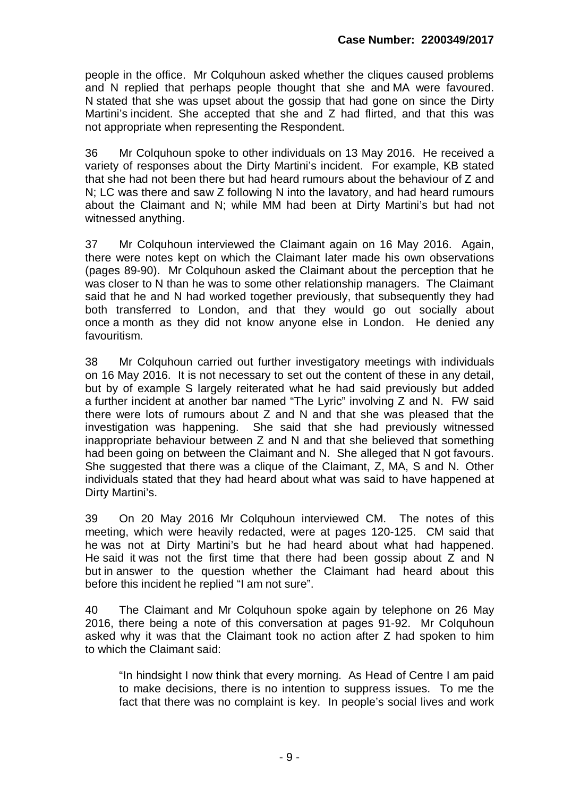people in the office. Mr Colquhoun asked whether the cliques caused problems and N replied that perhaps people thought that she and MA were favoured. N stated that she was upset about the gossip that had gone on since the Dirty Martini's incident. She accepted that she and Z had flirted, and that this was not appropriate when representing the Respondent.

36 Mr Colquhoun spoke to other individuals on 13 May 2016. He received a variety of responses about the Dirty Martini's incident. For example, KB stated that she had not been there but had heard rumours about the behaviour of Z and N; LC was there and saw Z following N into the lavatory, and had heard rumours about the Claimant and N; while MM had been at Dirty Martini's but had not witnessed anything.

37 Mr Colquhoun interviewed the Claimant again on 16 May 2016. Again, there were notes kept on which the Claimant later made his own observations (pages 89-90). Mr Colquhoun asked the Claimant about the perception that he was closer to N than he was to some other relationship managers. The Claimant said that he and N had worked together previously, that subsequently they had both transferred to London, and that they would go out socially about once a month as they did not know anyone else in London. He denied any favouritism.

38 Mr Colquhoun carried out further investigatory meetings with individuals on 16 May 2016. It is not necessary to set out the content of these in any detail, but by of example S largely reiterated what he had said previously but added a further incident at another bar named "The Lyric" involving Z and N. FW said there were lots of rumours about Z and N and that she was pleased that the investigation was happening. She said that she had previously witnessed inappropriate behaviour between Z and N and that she believed that something had been going on between the Claimant and N. She alleged that N got favours. She suggested that there was a clique of the Claimant, Z, MA, S and N. Other individuals stated that they had heard about what was said to have happened at Dirty Martini's.

39 On 20 May 2016 Mr Colquhoun interviewed CM. The notes of this meeting, which were heavily redacted, were at pages 120-125. CM said that he was not at Dirty Martini's but he had heard about what had happened. He said it was not the first time that there had been gossip about Z and N but in answer to the question whether the Claimant had heard about this before this incident he replied "I am not sure".

40 The Claimant and Mr Colquhoun spoke again by telephone on 26 May 2016, there being a note of this conversation at pages 91-92. Mr Colquhoun asked why it was that the Claimant took no action after Z had spoken to him to which the Claimant said:

"In hindsight I now think that every morning. As Head of Centre I am paid to make decisions, there is no intention to suppress issues. To me the fact that there was no complaint is key. In people's social lives and work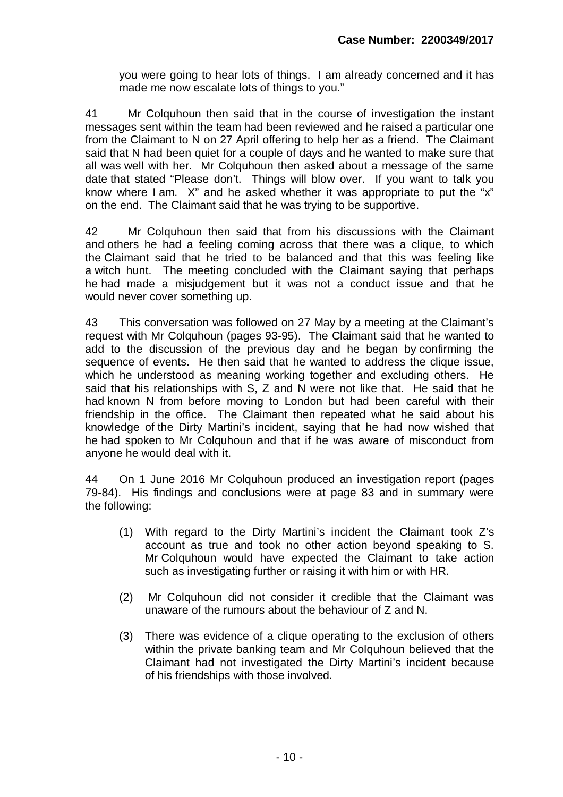you were going to hear lots of things. I am already concerned and it has made me now escalate lots of things to you."

41 Mr Colquhoun then said that in the course of investigation the instant messages sent within the team had been reviewed and he raised a particular one from the Claimant to N on 27 April offering to help her as a friend. The Claimant said that N had been quiet for a couple of days and he wanted to make sure that all was well with her. Mr Colquhoun then asked about a message of the same date that stated "Please don't. Things will blow over. If you want to talk you know where I am. X" and he asked whether it was appropriate to put the "x" on the end. The Claimant said that he was trying to be supportive.

42 Mr Colquhoun then said that from his discussions with the Claimant and others he had a feeling coming across that there was a clique, to which the Claimant said that he tried to be balanced and that this was feeling like a witch hunt. The meeting concluded with the Claimant saying that perhaps he had made a misjudgement but it was not a conduct issue and that he would never cover something up.

43 This conversation was followed on 27 May by a meeting at the Claimant's request with Mr Colquhoun (pages 93-95). The Claimant said that he wanted to add to the discussion of the previous day and he began by confirming the sequence of events. He then said that he wanted to address the clique issue, which he understood as meaning working together and excluding others. He said that his relationships with  $S$ ,  $Z$  and  $\overline{N}$  were not like that. He said that he had known N from before moving to London but had been careful with their friendship in the office. The Claimant then repeated what he said about his knowledge of the Dirty Martini's incident, saying that he had now wished that he had spoken to Mr Colquhoun and that if he was aware of misconduct from anyone he would deal with it.

44 On 1 June 2016 Mr Colquhoun produced an investigation report (pages 79-84). His findings and conclusions were at page 83 and in summary were the following:

- (1) With regard to the Dirty Martini's incident the Claimant took Z's account as true and took no other action beyond speaking to S. Mr Colquhoun would have expected the Claimant to take action such as investigating further or raising it with him or with HR.
- (2) Mr Colquhoun did not consider it credible that the Claimant was unaware of the rumours about the behaviour of Z and N.
- (3) There was evidence of a clique operating to the exclusion of others within the private banking team and Mr Colquhoun believed that the Claimant had not investigated the Dirty Martini's incident because of his friendships with those involved.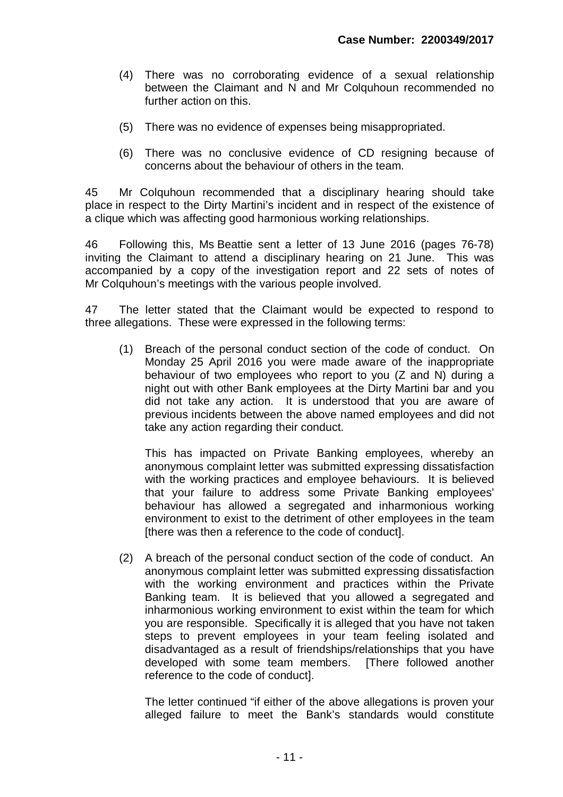- (4) There was no corroborating evidence of a sexual relationship between the Claimant and N and Mr Colquhoun recommended no further action on this.
- (5) There was no evidence of expenses being misappropriated.
- (6) There was no conclusive evidence of CD resigning because of concerns about the behaviour of others in the team.

45 Mr Colquhoun recommended that a disciplinary hearing should take place in respect to the Dirty Martini's incident and in respect of the existence of a clique which was affecting good harmonious working relationships.

46 Following this, Ms Beattie sent a letter of 13 June 2016 (pages 76-78) inviting the Claimant to attend a disciplinary hearing on 21 June. This was accompanied by a copy of the investigation report and 22 sets of notes of Mr Colquhoun's meetings with the various people involved.

47 The letter stated that the Claimant would be expected to respond to three allegations. These were expressed in the following terms:

(1) Breach of the personal conduct section of the code of conduct. On Monday 25 April 2016 you were made aware of the inappropriate behaviour of two employees who report to you (Z and N) during a night out with other Bank employees at the Dirty Martini bar and you did not take any action. It is understood that you are aware of previous incidents between the above named employees and did not take any action regarding their conduct.

This has impacted on Private Banking employees, whereby an anonymous complaint letter was submitted expressing dissatisfaction with the working practices and employee behaviours. It is believed that your failure to address some Private Banking employees' behaviour has allowed a segregated and inharmonious working environment to exist to the detriment of other employees in the team [there was then a reference to the code of conduct].

(2) A breach of the personal conduct section of the code of conduct. An anonymous complaint letter was submitted expressing dissatisfaction with the working environment and practices within the Private Banking team. It is believed that you allowed a segregated and inharmonious working environment to exist within the team for which you are responsible. Specifically it is alleged that you have not taken steps to prevent employees in your team feeling isolated and disadvantaged as a result of friendships/relationships that you have developed with some team members. [There followed another reference to the code of conduct].

The letter continued "if either of the above allegations is proven your alleged failure to meet the Bank's standards would constitute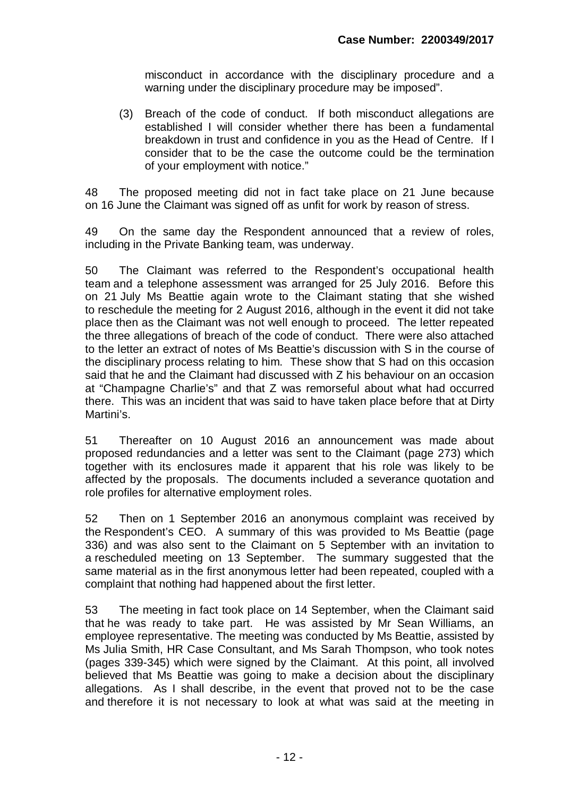misconduct in accordance with the disciplinary procedure and a warning under the disciplinary procedure may be imposed".

(3) Breach of the code of conduct. If both misconduct allegations are established I will consider whether there has been a fundamental breakdown in trust and confidence in you as the Head of Centre. If I consider that to be the case the outcome could be the termination of your employment with notice."

48 The proposed meeting did not in fact take place on 21 June because on 16 June the Claimant was signed off as unfit for work by reason of stress.

49 On the same day the Respondent announced that a review of roles, including in the Private Banking team, was underway.

50 The Claimant was referred to the Respondent's occupational health team and a telephone assessment was arranged for 25 July 2016. Before this on 21 July Ms Beattie again wrote to the Claimant stating that she wished to reschedule the meeting for 2 August 2016, although in the event it did not take place then as the Claimant was not well enough to proceed. The letter repeated the three allegations of breach of the code of conduct. There were also attached to the letter an extract of notes of Ms Beattie's discussion with S in the course of the disciplinary process relating to him. These show that S had on this occasion said that he and the Claimant had discussed with Z his behaviour on an occasion at "Champagne Charlie's" and that Z was remorseful about what had occurred there. This was an incident that was said to have taken place before that at Dirty Martini's.

51 Thereafter on 10 August 2016 an announcement was made about proposed redundancies and a letter was sent to the Claimant (page 273) which together with its enclosures made it apparent that his role was likely to be affected by the proposals. The documents included a severance quotation and role profiles for alternative employment roles.

52 Then on 1 September 2016 an anonymous complaint was received by the Respondent's CEO. A summary of this was provided to Ms Beattie (page 336) and was also sent to the Claimant on 5 September with an invitation to a rescheduled meeting on 13 September. The summary suggested that the same material as in the first anonymous letter had been repeated, coupled with a complaint that nothing had happened about the first letter.

53 The meeting in fact took place on 14 September, when the Claimant said that he was ready to take part. He was assisted by Mr Sean Williams, an employee representative. The meeting was conducted by Ms Beattie, assisted by Ms Julia Smith, HR Case Consultant, and Ms Sarah Thompson, who took notes (pages 339-345) which were signed by the Claimant. At this point, all involved believed that Ms Beattie was going to make a decision about the disciplinary allegations. As I shall describe, in the event that proved not to be the case and therefore it is not necessary to look at what was said at the meeting in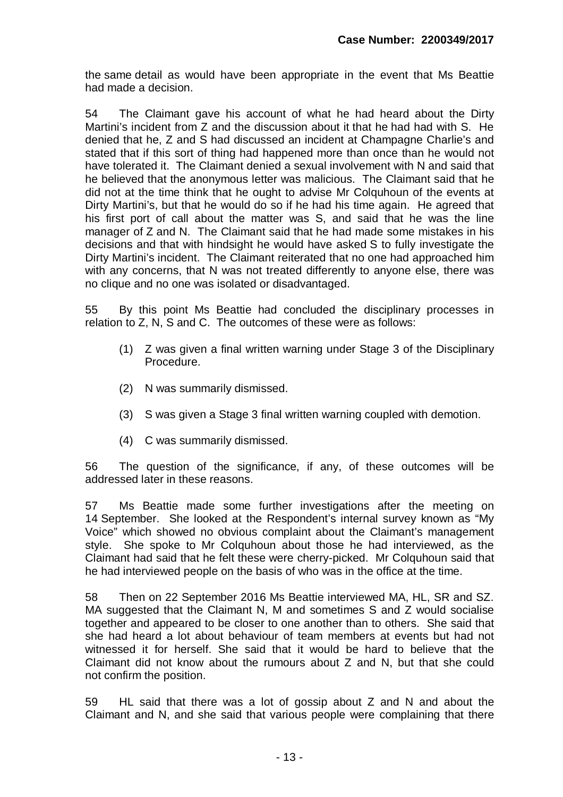the same detail as would have been appropriate in the event that Ms Beattie had made a decision.

54 The Claimant gave his account of what he had heard about the Dirty Martini's incident from Z and the discussion about it that he had had with S. He denied that he, Z and S had discussed an incident at Champagne Charlie's and stated that if this sort of thing had happened more than once than he would not have tolerated it. The Claimant denied a sexual involvement with N and said that he believed that the anonymous letter was malicious. The Claimant said that he did not at the time think that he ought to advise Mr Colquhoun of the events at Dirty Martini's, but that he would do so if he had his time again. He agreed that his first port of call about the matter was S, and said that he was the line manager of Z and N. The Claimant said that he had made some mistakes in his decisions and that with hindsight he would have asked S to fully investigate the Dirty Martini's incident. The Claimant reiterated that no one had approached him with any concerns, that N was not treated differently to anyone else, there was no clique and no one was isolated or disadvantaged.

55 By this point Ms Beattie had concluded the disciplinary processes in relation to Z, N, S and C. The outcomes of these were as follows:

- (1) Z was given a final written warning under Stage 3 of the Disciplinary Procedure.
- (2) N was summarily dismissed.
- (3) S was given a Stage 3 final written warning coupled with demotion.
- (4) C was summarily dismissed.

56 The question of the significance, if any, of these outcomes will be addressed later in these reasons.

57 Ms Beattie made some further investigations after the meeting on 14 September. She looked at the Respondent's internal survey known as "My Voice" which showed no obvious complaint about the Claimant's management style. She spoke to Mr Colquhoun about those he had interviewed, as the Claimant had said that he felt these were cherry-picked. Mr Colquhoun said that he had interviewed people on the basis of who was in the office at the time.

58 Then on 22 September 2016 Ms Beattie interviewed MA, HL, SR and SZ. MA suggested that the Claimant N, M and sometimes S and Z would socialise together and appeared to be closer to one another than to others. She said that she had heard a lot about behaviour of team members at events but had not witnessed it for herself. She said that it would be hard to believe that the Claimant did not know about the rumours about Z and N, but that she could not confirm the position.

59 HL said that there was a lot of gossip about Z and N and about the Claimant and N, and she said that various people were complaining that there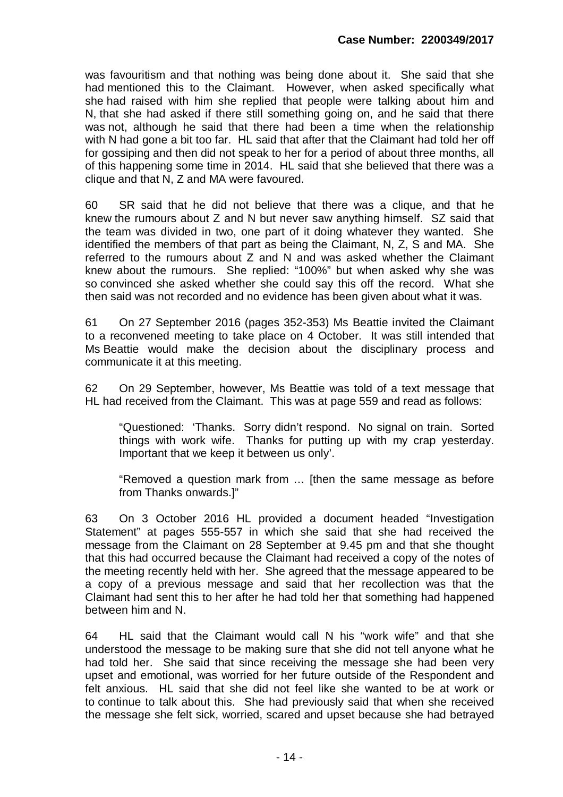was favouritism and that nothing was being done about it. She said that she had mentioned this to the Claimant. However, when asked specifically what she had raised with him she replied that people were talking about him and N, that she had asked if there still something going on, and he said that there was not, although he said that there had been a time when the relationship with N had gone a bit too far. HL said that after that the Claimant had told her off for gossiping and then did not speak to her for a period of about three months, all of this happening some time in 2014. HL said that she believed that there was a clique and that N, Z and MA were favoured.

60 SR said that he did not believe that there was a clique, and that he knew the rumours about Z and N but never saw anything himself. SZ said that the team was divided in two, one part of it doing whatever they wanted. She identified the members of that part as being the Claimant, N, Z, S and MA. She referred to the rumours about Z and N and was asked whether the Claimant knew about the rumours. She replied: "100%" but when asked why she was so convinced she asked whether she could say this off the record. What she then said was not recorded and no evidence has been given about what it was.

61 On 27 September 2016 (pages 352-353) Ms Beattie invited the Claimant to a reconvened meeting to take place on 4 October. It was still intended that Ms Beattie would make the decision about the disciplinary process and communicate it at this meeting.

62 On 29 September, however, Ms Beattie was told of a text message that HL had received from the Claimant. This was at page 559 and read as follows:

"Questioned: 'Thanks. Sorry didn't respond. No signal on train. Sorted things with work wife. Thanks for putting up with my crap yesterday. Important that we keep it between us only'.

"Removed a question mark from … [then the same message as before from Thanks onwards.]"

63 On 3 October 2016 HL provided a document headed "Investigation Statement" at pages 555-557 in which she said that she had received the message from the Claimant on 28 September at 9.45 pm and that she thought that this had occurred because the Claimant had received a copy of the notes of the meeting recently held with her. She agreed that the message appeared to be a copy of a previous message and said that her recollection was that the Claimant had sent this to her after he had told her that something had happened between him and N.

64 HL said that the Claimant would call N his "work wife" and that she understood the message to be making sure that she did not tell anyone what he had told her. She said that since receiving the message she had been very upset and emotional, was worried for her future outside of the Respondent and felt anxious. HL said that she did not feel like she wanted to be at work or to continue to talk about this. She had previously said that when she received the message she felt sick, worried, scared and upset because she had betrayed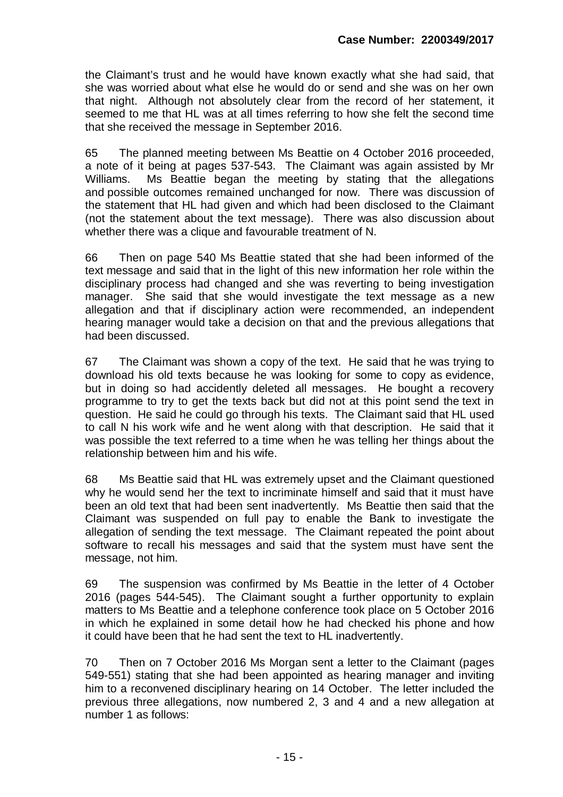the Claimant's trust and he would have known exactly what she had said, that she was worried about what else he would do or send and she was on her own that night. Although not absolutely clear from the record of her statement, it seemed to me that HL was at all times referring to how she felt the second time that she received the message in September 2016.

65 The planned meeting between Ms Beattie on 4 October 2016 proceeded, a note of it being at pages 537-543. The Claimant was again assisted by Mr Williams. Ms Beattie began the meeting by stating that the allegations and possible outcomes remained unchanged for now. There was discussion of the statement that HL had given and which had been disclosed to the Claimant (not the statement about the text message). There was also discussion about whether there was a clique and favourable treatment of N.

66 Then on page 540 Ms Beattie stated that she had been informed of the text message and said that in the light of this new information her role within the disciplinary process had changed and she was reverting to being investigation manager. She said that she would investigate the text message as a new allegation and that if disciplinary action were recommended, an independent hearing manager would take a decision on that and the previous allegations that had been discussed.

67 The Claimant was shown a copy of the text. He said that he was trying to download his old texts because he was looking for some to copy as evidence, but in doing so had accidently deleted all messages. He bought a recovery programme to try to get the texts back but did not at this point send the text in question. He said he could go through his texts. The Claimant said that HL used to call N his work wife and he went along with that description. He said that it was possible the text referred to a time when he was telling her things about the relationship between him and his wife.

68 Ms Beattie said that HL was extremely upset and the Claimant questioned why he would send her the text to incriminate himself and said that it must have been an old text that had been sent inadvertently. Ms Beattie then said that the Claimant was suspended on full pay to enable the Bank to investigate the allegation of sending the text message. The Claimant repeated the point about software to recall his messages and said that the system must have sent the message, not him.

69 The suspension was confirmed by Ms Beattie in the letter of 4 October 2016 (pages 544-545). The Claimant sought a further opportunity to explain matters to Ms Beattie and a telephone conference took place on 5 October 2016 in which he explained in some detail how he had checked his phone and how it could have been that he had sent the text to HL inadvertently.

70 Then on 7 October 2016 Ms Morgan sent a letter to the Claimant (pages 549-551) stating that she had been appointed as hearing manager and inviting him to a reconvened disciplinary hearing on 14 October. The letter included the previous three allegations, now numbered 2, 3 and 4 and a new allegation at number 1 as follows: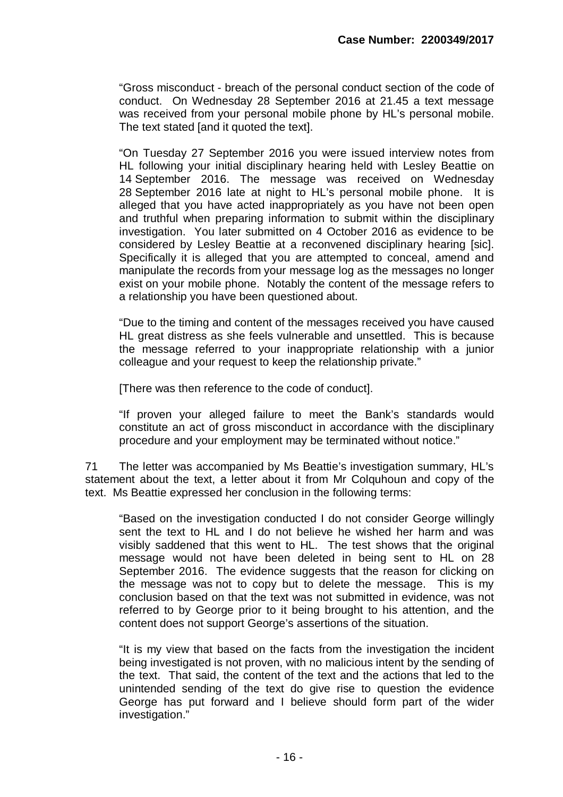"Gross misconduct - breach of the personal conduct section of the code of conduct. On Wednesday 28 September 2016 at 21.45 a text message was received from your personal mobile phone by HL's personal mobile. The text stated [and it quoted the text].

"On Tuesday 27 September 2016 you were issued interview notes from HL following your initial disciplinary hearing held with Lesley Beattie on 14 September 2016. The message was received on Wednesday 28 September 2016 late at night to HL's personal mobile phone. It is alleged that you have acted inappropriately as you have not been open and truthful when preparing information to submit within the disciplinary investigation. You later submitted on 4 October 2016 as evidence to be considered by Lesley Beattie at a reconvened disciplinary hearing [sic]. Specifically it is alleged that you are attempted to conceal, amend and manipulate the records from your message log as the messages no longer exist on your mobile phone. Notably the content of the message refers to a relationship you have been questioned about.

"Due to the timing and content of the messages received you have caused HL great distress as she feels vulnerable and unsettled. This is because the message referred to your inappropriate relationship with a junior colleague and your request to keep the relationship private."

[There was then reference to the code of conduct].

"If proven your alleged failure to meet the Bank's standards would constitute an act of gross misconduct in accordance with the disciplinary procedure and your employment may be terminated without notice."

71 The letter was accompanied by Ms Beattie's investigation summary, HL's statement about the text, a letter about it from Mr Colquhoun and copy of the text. Ms Beattie expressed her conclusion in the following terms:

"Based on the investigation conducted I do not consider George willingly sent the text to HL and I do not believe he wished her harm and was visibly saddened that this went to HL. The test shows that the original message would not have been deleted in being sent to HL on 28 September 2016. The evidence suggests that the reason for clicking on the message was not to copy but to delete the message. This is my conclusion based on that the text was not submitted in evidence, was not referred to by George prior to it being brought to his attention, and the content does not support George's assertions of the situation.

"It is my view that based on the facts from the investigation the incident being investigated is not proven, with no malicious intent by the sending of the text. That said, the content of the text and the actions that led to the unintended sending of the text do give rise to question the evidence George has put forward and I believe should form part of the wider investigation."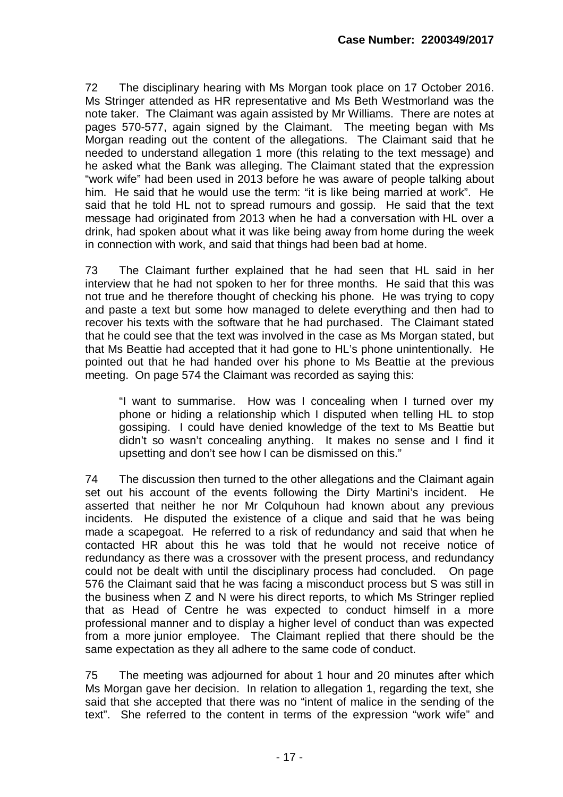72 The disciplinary hearing with Ms Morgan took place on 17 October 2016. Ms Stringer attended as HR representative and Ms Beth Westmorland was the note taker. The Claimant was again assisted by Mr Williams. There are notes at pages 570-577, again signed by the Claimant. The meeting began with Ms Morgan reading out the content of the allegations. The Claimant said that he needed to understand allegation 1 more (this relating to the text message) and he asked what the Bank was alleging. The Claimant stated that the expression "work wife" had been used in 2013 before he was aware of people talking about him. He said that he would use the term: "it is like being married at work". He said that he told HL not to spread rumours and gossip. He said that the text message had originated from 2013 when he had a conversation with HL over a drink, had spoken about what it was like being away from home during the week in connection with work, and said that things had been bad at home.

73 The Claimant further explained that he had seen that HL said in her interview that he had not spoken to her for three months. He said that this was not true and he therefore thought of checking his phone. He was trying to copy and paste a text but some how managed to delete everything and then had to recover his texts with the software that he had purchased. The Claimant stated that he could see that the text was involved in the case as Ms Morgan stated, but that Ms Beattie had accepted that it had gone to HL's phone unintentionally. He pointed out that he had handed over his phone to Ms Beattie at the previous meeting. On page 574 the Claimant was recorded as saying this:

"I want to summarise. How was I concealing when I turned over my phone or hiding a relationship which I disputed when telling HL to stop gossiping. I could have denied knowledge of the text to Ms Beattie but didn't so wasn't concealing anything. It makes no sense and I find it upsetting and don't see how I can be dismissed on this."

74 The discussion then turned to the other allegations and the Claimant again set out his account of the events following the Dirty Martini's incident. He asserted that neither he nor Mr Colquhoun had known about any previous incidents. He disputed the existence of a clique and said that he was being made a scapegoat. He referred to a risk of redundancy and said that when he contacted HR about this he was told that he would not receive notice of redundancy as there was a crossover with the present process, and redundancy could not be dealt with until the disciplinary process had concluded. On page 576 the Claimant said that he was facing a misconduct process but S was still in the business when Z and N were his direct reports, to which Ms Stringer replied that as Head of Centre he was expected to conduct himself in a more professional manner and to display a higher level of conduct than was expected from a more junior employee. The Claimant replied that there should be the same expectation as they all adhere to the same code of conduct.

75 The meeting was adjourned for about 1 hour and 20 minutes after which Ms Morgan gave her decision. In relation to allegation 1, regarding the text, she said that she accepted that there was no "intent of malice in the sending of the text". She referred to the content in terms of the expression "work wife" and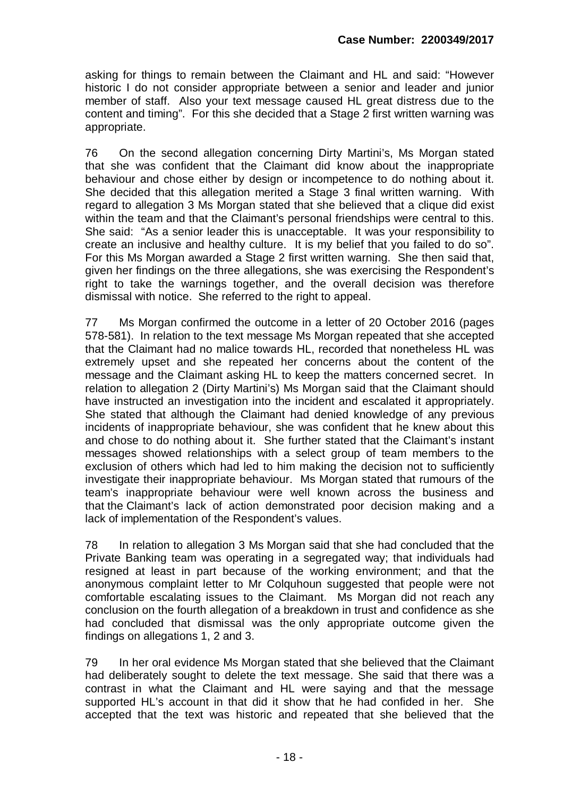asking for things to remain between the Claimant and HL and said: "However historic I do not consider appropriate between a senior and leader and junior member of staff. Also your text message caused HL great distress due to the content and timing". For this she decided that a Stage 2 first written warning was appropriate.

76 On the second allegation concerning Dirty Martini's, Ms Morgan stated that she was confident that the Claimant did know about the inappropriate behaviour and chose either by design or incompetence to do nothing about it. She decided that this allegation merited a Stage 3 final written warning. With regard to allegation 3 Ms Morgan stated that she believed that a clique did exist within the team and that the Claimant's personal friendships were central to this. She said: "As a senior leader this is unacceptable. It was your responsibility to create an inclusive and healthy culture. It is my belief that you failed to do so". For this Ms Morgan awarded a Stage 2 first written warning. She then said that, given her findings on the three allegations, she was exercising the Respondent's right to take the warnings together, and the overall decision was therefore dismissal with notice. She referred to the right to appeal.

77 Ms Morgan confirmed the outcome in a letter of 20 October 2016 (pages 578-581). In relation to the text message Ms Morgan repeated that she accepted that the Claimant had no malice towards HL, recorded that nonetheless HL was extremely upset and she repeated her concerns about the content of the message and the Claimant asking HL to keep the matters concerned secret. In relation to allegation 2 (Dirty Martini's) Ms Morgan said that the Claimant should have instructed an investigation into the incident and escalated it appropriately. She stated that although the Claimant had denied knowledge of any previous incidents of inappropriate behaviour, she was confident that he knew about this and chose to do nothing about it. She further stated that the Claimant's instant messages showed relationships with a select group of team members to the exclusion of others which had led to him making the decision not to sufficiently investigate their inappropriate behaviour. Ms Morgan stated that rumours of the team's inappropriate behaviour were well known across the business and that the Claimant's lack of action demonstrated poor decision making and a lack of implementation of the Respondent's values.

78 In relation to allegation 3 Ms Morgan said that she had concluded that the Private Banking team was operating in a segregated way; that individuals had resigned at least in part because of the working environment; and that the anonymous complaint letter to Mr Colquhoun suggested that people were not comfortable escalating issues to the Claimant. Ms Morgan did not reach any conclusion on the fourth allegation of a breakdown in trust and confidence as she had concluded that dismissal was the only appropriate outcome given the findings on allegations 1, 2 and 3.

79 In her oral evidence Ms Morgan stated that she believed that the Claimant had deliberately sought to delete the text message. She said that there was a contrast in what the Claimant and HL were saying and that the message supported HL's account in that did it show that he had confided in her. She accepted that the text was historic and repeated that she believed that the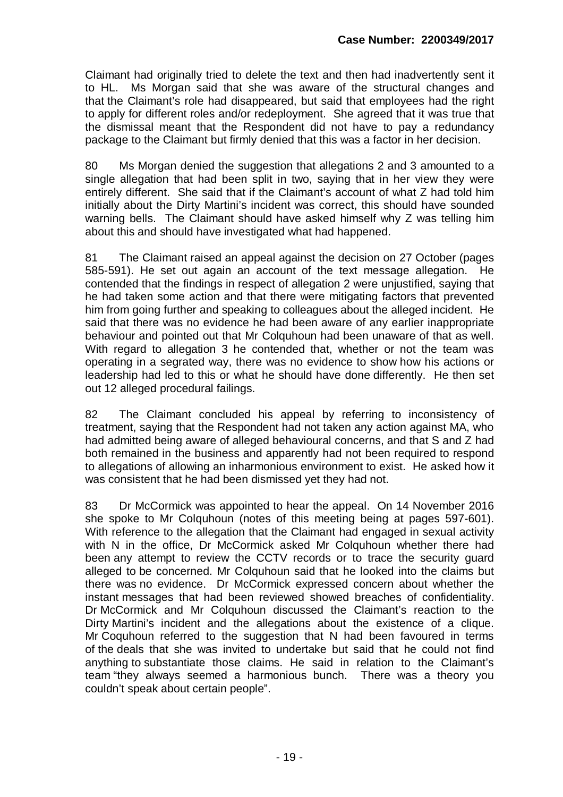Claimant had originally tried to delete the text and then had inadvertently sent it to HL. Ms Morgan said that she was aware of the structural changes and that the Claimant's role had disappeared, but said that employees had the right to apply for different roles and/or redeployment. She agreed that it was true that the dismissal meant that the Respondent did not have to pay a redundancy package to the Claimant but firmly denied that this was a factor in her decision.

80 Ms Morgan denied the suggestion that allegations 2 and 3 amounted to a single allegation that had been split in two, saying that in her view they were entirely different. She said that if the Claimant's account of what Z had told him initially about the Dirty Martini's incident was correct, this should have sounded warning bells. The Claimant should have asked himself why Z was telling him about this and should have investigated what had happened.

81 The Claimant raised an appeal against the decision on 27 October (pages 585-591). He set out again an account of the text message allegation. He contended that the findings in respect of allegation 2 were unjustified, saying that he had taken some action and that there were mitigating factors that prevented him from going further and speaking to colleagues about the alleged incident. He said that there was no evidence he had been aware of any earlier inappropriate behaviour and pointed out that Mr Colquhoun had been unaware of that as well. With regard to allegation 3 he contended that, whether or not the team was operating in a segrated way, there was no evidence to show how his actions or leadership had led to this or what he should have done differently. He then set out 12 alleged procedural failings.

82 The Claimant concluded his appeal by referring to inconsistency of treatment, saying that the Respondent had not taken any action against MA, who had admitted being aware of alleged behavioural concerns, and that S and Z had both remained in the business and apparently had not been required to respond to allegations of allowing an inharmonious environment to exist. He asked how it was consistent that he had been dismissed yet they had not.

83 Dr McCormick was appointed to hear the appeal. On 14 November 2016 she spoke to Mr Colquhoun (notes of this meeting being at pages 597-601). With reference to the allegation that the Claimant had engaged in sexual activity with N in the office. Dr McCormick asked Mr Colquhoun whether there had been any attempt to review the CCTV records or to trace the security guard alleged to be concerned. Mr Colquhoun said that he looked into the claims but there was no evidence. Dr McCormick expressed concern about whether the instant messages that had been reviewed showed breaches of confidentiality. Dr McCormick and Mr Colquhoun discussed the Claimant's reaction to the Dirty Martini's incident and the allegations about the existence of a clique. Mr Coquhoun referred to the suggestion that N had been favoured in terms of the deals that she was invited to undertake but said that he could not find anything to substantiate those claims. He said in relation to the Claimant's team "they always seemed a harmonious bunch. There was a theory you couldn't speak about certain people".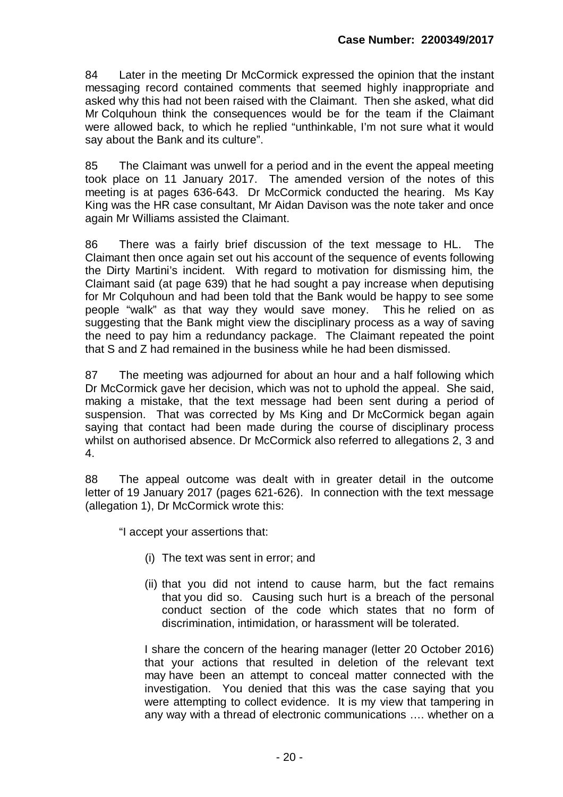84 Later in the meeting Dr McCormick expressed the opinion that the instant messaging record contained comments that seemed highly inappropriate and asked why this had not been raised with the Claimant. Then she asked, what did Mr Colquhoun think the consequences would be for the team if the Claimant were allowed back, to which he replied "unthinkable, I'm not sure what it would say about the Bank and its culture".

85 The Claimant was unwell for a period and in the event the appeal meeting took place on 11 January 2017. The amended version of the notes of this meeting is at pages 636-643. Dr McCormick conducted the hearing. Ms Kay King was the HR case consultant, Mr Aidan Davison was the note taker and once again Mr Williams assisted the Claimant.

86 There was a fairly brief discussion of the text message to HL. The Claimant then once again set out his account of the sequence of events following the Dirty Martini's incident. With regard to motivation for dismissing him, the Claimant said (at page 639) that he had sought a pay increase when deputising for Mr Colquhoun and had been told that the Bank would be happy to see some people "walk" as that way they would save money. This he relied on as suggesting that the Bank might view the disciplinary process as a way of saving the need to pay him a redundancy package. The Claimant repeated the point that S and Z had remained in the business while he had been dismissed.

87 The meeting was adjourned for about an hour and a half following which Dr McCormick gave her decision, which was not to uphold the appeal. She said, making a mistake, that the text message had been sent during a period of suspension. That was corrected by Ms King and Dr McCormick began again saying that contact had been made during the course of disciplinary process whilst on authorised absence. Dr McCormick also referred to allegations 2, 3 and 4.

88 The appeal outcome was dealt with in greater detail in the outcome letter of 19 January 2017 (pages 621-626). In connection with the text message (allegation 1), Dr McCormick wrote this:

"I accept your assertions that:

- (i) The text was sent in error; and
- (ii) that you did not intend to cause harm, but the fact remains that you did so. Causing such hurt is a breach of the personal conduct section of the code which states that no form of discrimination, intimidation, or harassment will be tolerated.

I share the concern of the hearing manager (letter 20 October 2016) that your actions that resulted in deletion of the relevant text may have been an attempt to conceal matter connected with the investigation. You denied that this was the case saying that you were attempting to collect evidence. It is my view that tampering in any way with a thread of electronic communications …. whether on a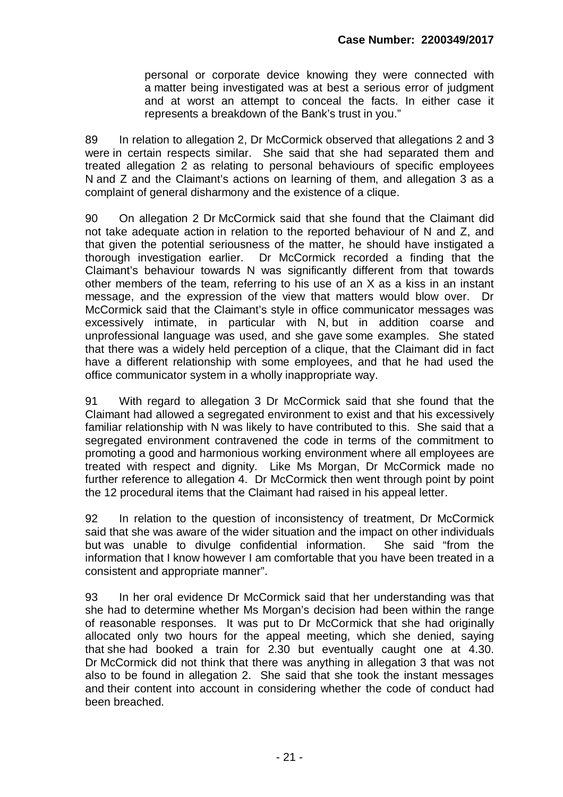personal or corporate device knowing they were connected with a matter being investigated was at best a serious error of judgment and at worst an attempt to conceal the facts. In either case it represents a breakdown of the Bank's trust in you."

89 In relation to allegation 2, Dr McCormick observed that allegations 2 and 3 were in certain respects similar. She said that she had separated them and treated allegation 2 as relating to personal behaviours of specific employees N and Z and the Claimant's actions on learning of them, and allegation 3 as a complaint of general disharmony and the existence of a clique.

90 On allegation 2 Dr McCormick said that she found that the Claimant did not take adequate action in relation to the reported behaviour of N and Z, and that given the potential seriousness of the matter, he should have instigated a thorough investigation earlier. Dr McCormick recorded a finding that the Claimant's behaviour towards N was significantly different from that towards other members of the team, referring to his use of an X as a kiss in an instant message, and the expression of the view that matters would blow over. Dr McCormick said that the Claimant's style in office communicator messages was excessively intimate, in particular with N, but in addition coarse and unprofessional language was used, and she gave some examples. She stated that there was a widely held perception of a clique, that the Claimant did in fact have a different relationship with some employees, and that he had used the office communicator system in a wholly inappropriate way.

91 With regard to allegation 3 Dr McCormick said that she found that the Claimant had allowed a segregated environment to exist and that his excessively familiar relationship with N was likely to have contributed to this. She said that a segregated environment contravened the code in terms of the commitment to promoting a good and harmonious working environment where all employees are treated with respect and dignity. Like Ms Morgan, Dr McCormick made no further reference to allegation 4. Dr McCormick then went through point by point the 12 procedural items that the Claimant had raised in his appeal letter.

92 In relation to the question of inconsistency of treatment, Dr McCormick said that she was aware of the wider situation and the impact on other individuals but was unable to divulge confidential information. She said "from the information that I know however I am comfortable that you have been treated in a consistent and appropriate manner".

93 In her oral evidence Dr McCormick said that her understanding was that she had to determine whether Ms Morgan's decision had been within the range of reasonable responses. It was put to Dr McCormick that she had originally allocated only two hours for the appeal meeting, which she denied, saying that she had booked a train for 2.30 but eventually caught one at 4.30. Dr McCormick did not think that there was anything in allegation 3 that was not also to be found in allegation 2. She said that she took the instant messages and their content into account in considering whether the code of conduct had been breached.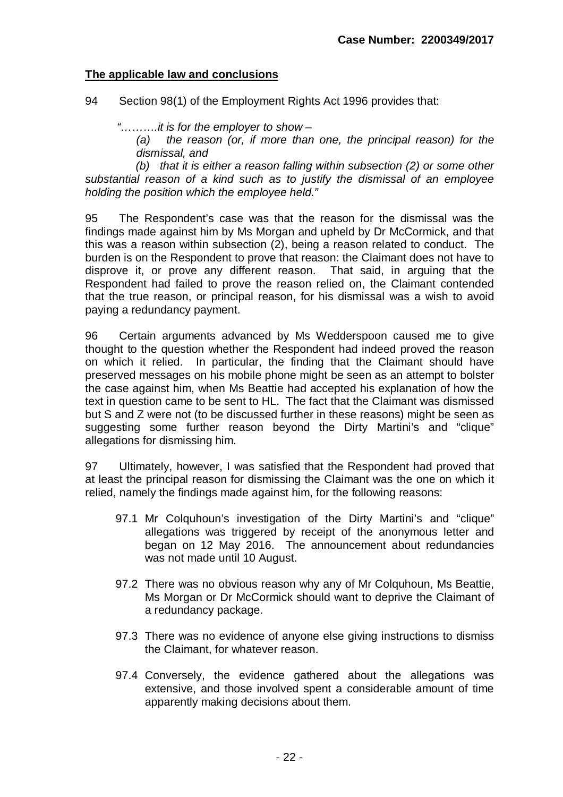## **The applicable law and conclusions**

94 Section 98(1) of the Employment Rights Act 1996 provides that:

*"……….it is for the employer to show –*

*(a) the reason (or, if more than one, the principal reason) for the dismissal, and*

 *(b) that it is either a reason falling within subsection (2) or some other substantial reason of a kind such as to justify the dismissal of an employee holding the position which the employee held."*

95 The Respondent's case was that the reason for the dismissal was the findings made against him by Ms Morgan and upheld by Dr McCormick, and that this was a reason within subsection (2), being a reason related to conduct. The burden is on the Respondent to prove that reason: the Claimant does not have to disprove it, or prove any different reason. That said, in arguing that the Respondent had failed to prove the reason relied on, the Claimant contended that the true reason, or principal reason, for his dismissal was a wish to avoid paying a redundancy payment.

96 Certain arguments advanced by Ms Wedderspoon caused me to give thought to the question whether the Respondent had indeed proved the reason on which it relied. In particular, the finding that the Claimant should have preserved messages on his mobile phone might be seen as an attempt to bolster the case against him, when Ms Beattie had accepted his explanation of how the text in question came to be sent to HL. The fact that the Claimant was dismissed but S and Z were not (to be discussed further in these reasons) might be seen as suggesting some further reason beyond the Dirty Martini's and "clique" allegations for dismissing him.

97 Ultimately, however, I was satisfied that the Respondent had proved that at least the principal reason for dismissing the Claimant was the one on which it relied, namely the findings made against him, for the following reasons:

- 97.1 Mr Colquhoun's investigation of the Dirty Martini's and "clique" allegations was triggered by receipt of the anonymous letter and began on 12 May 2016. The announcement about redundancies was not made until 10 August.
- 97.2 There was no obvious reason why any of Mr Colquhoun, Ms Beattie, Ms Morgan or Dr McCormick should want to deprive the Claimant of a redundancy package.
- 97.3 There was no evidence of anyone else giving instructions to dismiss the Claimant, for whatever reason.
- 97.4 Conversely, the evidence gathered about the allegations was extensive, and those involved spent a considerable amount of time apparently making decisions about them.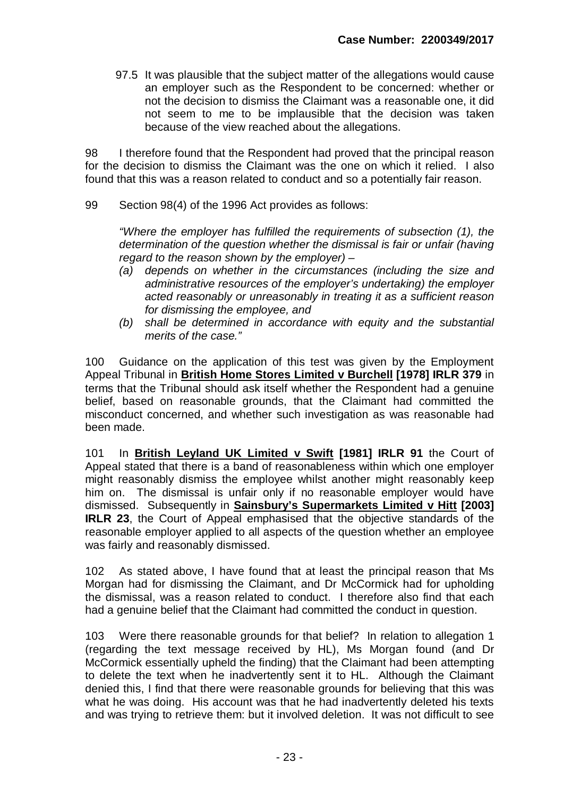97.5 It was plausible that the subject matter of the allegations would cause an employer such as the Respondent to be concerned: whether or not the decision to dismiss the Claimant was a reasonable one, it did not seem to me to be implausible that the decision was taken because of the view reached about the allegations.

98 I therefore found that the Respondent had proved that the principal reason for the decision to dismiss the Claimant was the one on which it relied. I also found that this was a reason related to conduct and so a potentially fair reason.

99 Section 98(4) of the 1996 Act provides as follows:

*"Where the employer has fulfilled the requirements of subsection (1), the determination of the question whether the dismissal is fair or unfair (having regard to the reason shown by the employer) –*

- *(a) depends on whether in the circumstances (including the size and administrative resources of the employer's undertaking) the employer acted reasonably or unreasonably in treating it as a sufficient reason for dismissing the employee, and*
- *(b) shall be determined in accordance with equity and the substantial merits of the case."*

100 Guidance on the application of this test was given by the Employment Appeal Tribunal in **British Home Stores Limited v Burchell [1978] IRLR 379** in terms that the Tribunal should ask itself whether the Respondent had a genuine belief, based on reasonable grounds, that the Claimant had committed the misconduct concerned, and whether such investigation as was reasonable had been made.

101 In **British Leyland UK Limited v Swift [1981] IRLR 91** the Court of Appeal stated that there is a band of reasonableness within which one employer might reasonably dismiss the employee whilst another might reasonably keep him on. The dismissal is unfair only if no reasonable employer would have dismissed. Subsequently in **Sainsbury's Supermarkets Limited v Hitt [2003] IRLR 23**, the Court of Appeal emphasised that the objective standards of the reasonable employer applied to all aspects of the question whether an employee was fairly and reasonably dismissed.

102 As stated above, I have found that at least the principal reason that Ms Morgan had for dismissing the Claimant, and Dr McCormick had for upholding the dismissal, was a reason related to conduct. I therefore also find that each had a genuine belief that the Claimant had committed the conduct in question.

103 Were there reasonable grounds for that belief? In relation to allegation 1 (regarding the text message received by HL), Ms Morgan found (and Dr McCormick essentially upheld the finding) that the Claimant had been attempting to delete the text when he inadvertently sent it to HL. Although the Claimant denied this, I find that there were reasonable grounds for believing that this was what he was doing. His account was that he had inadvertently deleted his texts and was trying to retrieve them: but it involved deletion. It was not difficult to see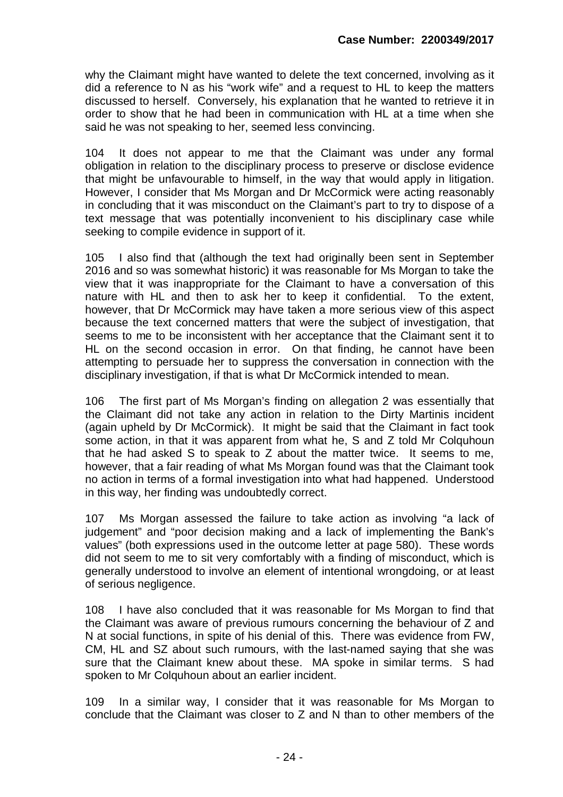why the Claimant might have wanted to delete the text concerned, involving as it did a reference to N as his "work wife" and a request to HL to keep the matters discussed to herself. Conversely, his explanation that he wanted to retrieve it in order to show that he had been in communication with HL at a time when she said he was not speaking to her, seemed less convincing.

104 It does not appear to me that the Claimant was under any formal obligation in relation to the disciplinary process to preserve or disclose evidence that might be unfavourable to himself, in the way that would apply in litigation. However, I consider that Ms Morgan and Dr McCormick were acting reasonably in concluding that it was misconduct on the Claimant's part to try to dispose of a text message that was potentially inconvenient to his disciplinary case while seeking to compile evidence in support of it.

105 I also find that (although the text had originally been sent in September 2016 and so was somewhat historic) it was reasonable for Ms Morgan to take the view that it was inappropriate for the Claimant to have a conversation of this nature with HL and then to ask her to keep it confidential. To the extent, however, that Dr McCormick may have taken a more serious view of this aspect because the text concerned matters that were the subject of investigation, that seems to me to be inconsistent with her acceptance that the Claimant sent it to HL on the second occasion in error. On that finding, he cannot have been attempting to persuade her to suppress the conversation in connection with the disciplinary investigation, if that is what Dr McCormick intended to mean.

106 The first part of Ms Morgan's finding on allegation 2 was essentially that the Claimant did not take any action in relation to the Dirty Martinis incident (again upheld by Dr McCormick). It might be said that the Claimant in fact took some action, in that it was apparent from what he, S and Z told Mr Colquhoun that he had asked S to speak to Z about the matter twice. It seems to me, however, that a fair reading of what Ms Morgan found was that the Claimant took no action in terms of a formal investigation into what had happened. Understood in this way, her finding was undoubtedly correct.

107 Ms Morgan assessed the failure to take action as involving "a lack of judgement" and "poor decision making and a lack of implementing the Bank's values" (both expressions used in the outcome letter at page 580). These words did not seem to me to sit very comfortably with a finding of misconduct, which is generally understood to involve an element of intentional wrongdoing, or at least of serious negligence.

108 I have also concluded that it was reasonable for Ms Morgan to find that the Claimant was aware of previous rumours concerning the behaviour of Z and N at social functions, in spite of his denial of this. There was evidence from FW, CM, HL and SZ about such rumours, with the last-named saying that she was sure that the Claimant knew about these. MA spoke in similar terms. S had spoken to Mr Colquhoun about an earlier incident.

109 In a similar way, I consider that it was reasonable for Ms Morgan to conclude that the Claimant was closer to Z and N than to other members of the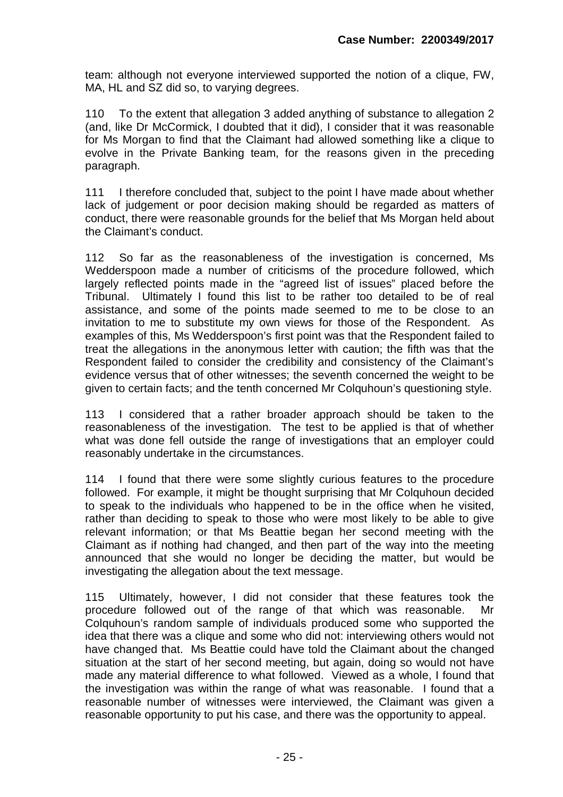team: although not everyone interviewed supported the notion of a clique, FW, MA, HL and SZ did so, to varying degrees.

110 To the extent that allegation 3 added anything of substance to allegation 2 (and, like Dr McCormick, I doubted that it did), I consider that it was reasonable for Ms Morgan to find that the Claimant had allowed something like a clique to evolve in the Private Banking team, for the reasons given in the preceding paragraph.

111 I therefore concluded that, subject to the point I have made about whether lack of judgement or poor decision making should be regarded as matters of conduct, there were reasonable grounds for the belief that Ms Morgan held about the Claimant's conduct.

112 So far as the reasonableness of the investigation is concerned, Ms Wedderspoon made a number of criticisms of the procedure followed, which largely reflected points made in the "agreed list of issues" placed before the Tribunal. Ultimately I found this list to be rather too detailed to be of real assistance, and some of the points made seemed to me to be close to an invitation to me to substitute my own views for those of the Respondent. As examples of this, Ms Wedderspoon's first point was that the Respondent failed to treat the allegations in the anonymous letter with caution; the fifth was that the Respondent failed to consider the credibility and consistency of the Claimant's evidence versus that of other witnesses; the seventh concerned the weight to be given to certain facts; and the tenth concerned Mr Colquhoun's questioning style.

113 I considered that a rather broader approach should be taken to the reasonableness of the investigation. The test to be applied is that of whether what was done fell outside the range of investigations that an employer could reasonably undertake in the circumstances.

114 I found that there were some slightly curious features to the procedure followed. For example, it might be thought surprising that Mr Colquhoun decided to speak to the individuals who happened to be in the office when he visited, rather than deciding to speak to those who were most likely to be able to give relevant information; or that Ms Beattie began her second meeting with the Claimant as if nothing had changed, and then part of the way into the meeting announced that she would no longer be deciding the matter, but would be investigating the allegation about the text message.

115 Ultimately, however, I did not consider that these features took the procedure followed out of the range of that which was reasonable. Mr Colquhoun's random sample of individuals produced some who supported the idea that there was a clique and some who did not: interviewing others would not have changed that. Ms Beattie could have told the Claimant about the changed situation at the start of her second meeting, but again, doing so would not have made any material difference to what followed. Viewed as a whole, I found that the investigation was within the range of what was reasonable. I found that a reasonable number of witnesses were interviewed, the Claimant was given a reasonable opportunity to put his case, and there was the opportunity to appeal.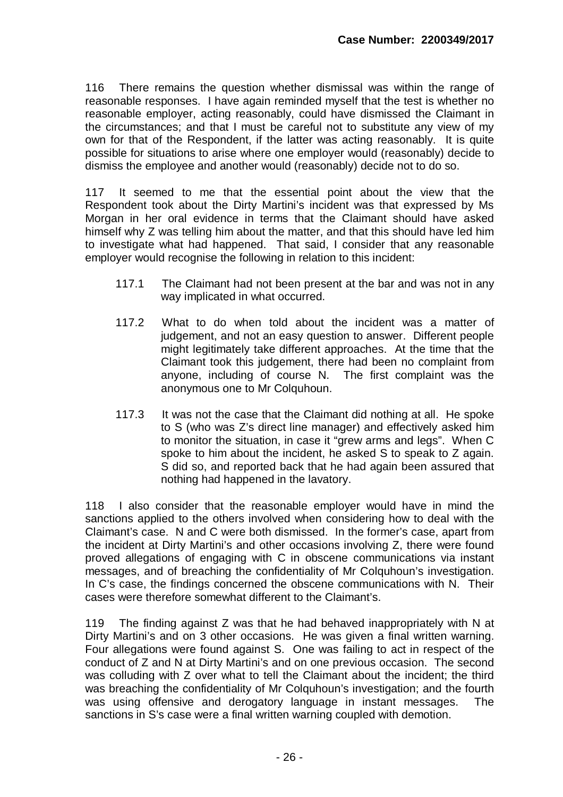116 There remains the question whether dismissal was within the range of reasonable responses. I have again reminded myself that the test is whether no reasonable employer, acting reasonably, could have dismissed the Claimant in the circumstances; and that I must be careful not to substitute any view of my own for that of the Respondent, if the latter was acting reasonably. It is quite possible for situations to arise where one employer would (reasonably) decide to dismiss the employee and another would (reasonably) decide not to do so.

117 It seemed to me that the essential point about the view that the Respondent took about the Dirty Martini's incident was that expressed by Ms Morgan in her oral evidence in terms that the Claimant should have asked himself why Z was telling him about the matter, and that this should have led him to investigate what had happened. That said, I consider that any reasonable employer would recognise the following in relation to this incident:

- 117.1 The Claimant had not been present at the bar and was not in any way implicated in what occurred.
- 117.2 What to do when told about the incident was a matter of judgement, and not an easy question to answer. Different people might legitimately take different approaches. At the time that the Claimant took this judgement, there had been no complaint from anyone, including of course N. The first complaint was the anonymous one to Mr Colquhoun.
- 117.3 It was not the case that the Claimant did nothing at all. He spoke to S (who was Z's direct line manager) and effectively asked him to monitor the situation, in case it "grew arms and legs". When C spoke to him about the incident, he asked S to speak to Z again. S did so, and reported back that he had again been assured that nothing had happened in the lavatory.

118 I also consider that the reasonable employer would have in mind the sanctions applied to the others involved when considering how to deal with the Claimant's case. N and C were both dismissed. In the former's case, apart from the incident at Dirty Martini's and other occasions involving Z, there were found proved allegations of engaging with C in obscene communications via instant messages, and of breaching the confidentiality of Mr Colquhoun's investigation. In C's case, the findings concerned the obscene communications with N. Their cases were therefore somewhat different to the Claimant's.

119 The finding against Z was that he had behaved inappropriately with N at Dirty Martini's and on 3 other occasions. He was given a final written warning. Four allegations were found against S. One was failing to act in respect of the conduct of Z and N at Dirty Martini's and on one previous occasion. The second was colluding with Z over what to tell the Claimant about the incident; the third was breaching the confidentiality of Mr Colquhoun's investigation; and the fourth was using offensive and derogatory language in instant messages. The sanctions in S's case were a final written warning coupled with demotion.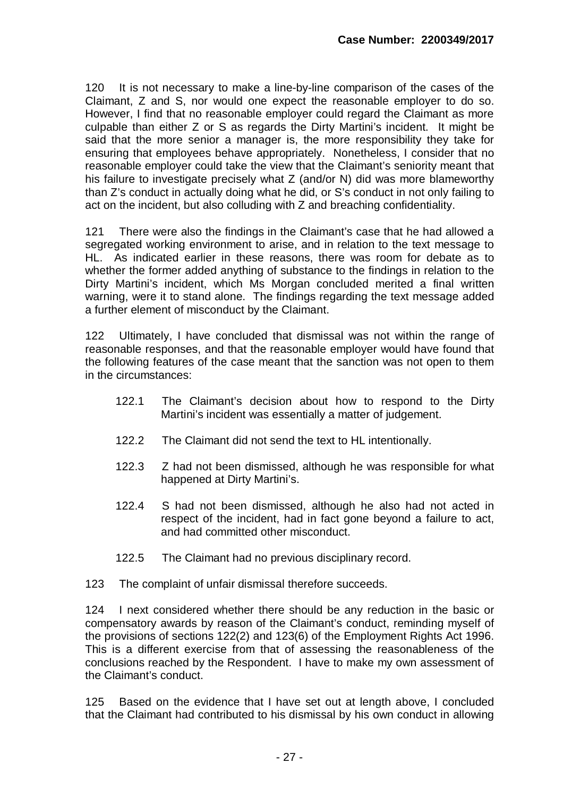120 It is not necessary to make a line-by-line comparison of the cases of the Claimant, Z and S, nor would one expect the reasonable employer to do so. However, I find that no reasonable employer could regard the Claimant as more culpable than either Z or S as regards the Dirty Martini's incident. It might be said that the more senior a manager is, the more responsibility they take for ensuring that employees behave appropriately. Nonetheless, I consider that no reasonable employer could take the view that the Claimant's seniority meant that his failure to investigate precisely what Z (and/or N) did was more blameworthy than Z's conduct in actually doing what he did, or S's conduct in not only failing to act on the incident, but also colluding with Z and breaching confidentiality.

121 There were also the findings in the Claimant's case that he had allowed a segregated working environment to arise, and in relation to the text message to HL. As indicated earlier in these reasons, there was room for debate as to whether the former added anything of substance to the findings in relation to the Dirty Martini's incident, which Ms Morgan concluded merited a final written warning, were it to stand alone. The findings regarding the text message added a further element of misconduct by the Claimant.

122 Ultimately, I have concluded that dismissal was not within the range of reasonable responses, and that the reasonable employer would have found that the following features of the case meant that the sanction was not open to them in the circumstances:

- 122.1 The Claimant's decision about how to respond to the Dirty Martini's incident was essentially a matter of judgement.
- 122.2 The Claimant did not send the text to HL intentionally.
- 122.3 Z had not been dismissed, although he was responsible for what happened at Dirty Martini's.
- 122.4 S had not been dismissed, although he also had not acted in respect of the incident, had in fact gone beyond a failure to act, and had committed other misconduct.
- 122.5 The Claimant had no previous disciplinary record.
- 123 The complaint of unfair dismissal therefore succeeds.

124 I next considered whether there should be any reduction in the basic or compensatory awards by reason of the Claimant's conduct, reminding myself of the provisions of sections 122(2) and 123(6) of the Employment Rights Act 1996. This is a different exercise from that of assessing the reasonableness of the conclusions reached by the Respondent. I have to make my own assessment of the Claimant's conduct.

125 Based on the evidence that I have set out at length above, I concluded that the Claimant had contributed to his dismissal by his own conduct in allowing